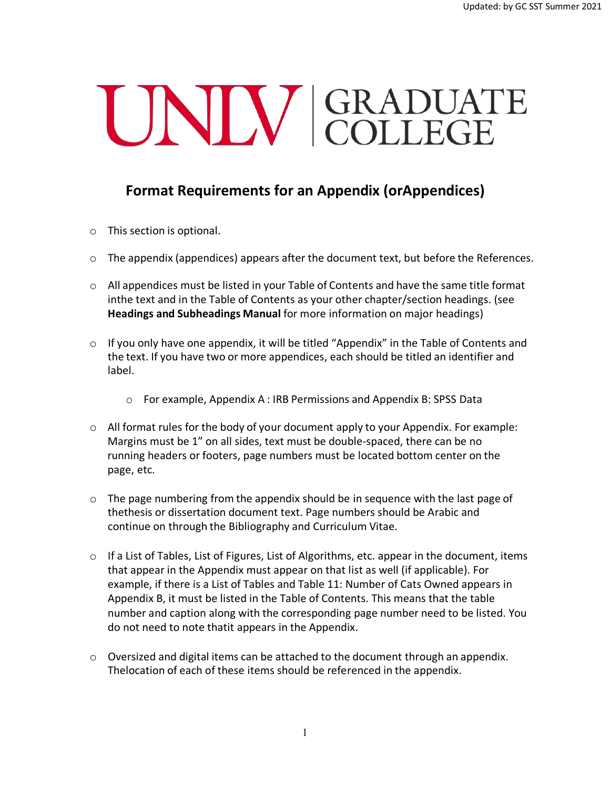## UNIV GRADUATE

## **Format Requirements for an Appendix (orAppendices)**

- o This section is optional.
- $\circ$  The appendix (appendices) appears after the document text, but before the References.
- $\circ$  All appendices must be listed in your Table of Contents and have the same title format inthe text and in the Table of Contents as your other chapter/section headings. (see **Headings and Subheadings Manual** for more information on major headings)
- $\circ$  If you only have one appendix, it will be titled "Appendix" in the Table of Contents and the text. If you have two or more appendices, each should be titled an identifier and label.
	- o For example, Appendix A : IRB Permissions and Appendix B: SPSS Data
- $\circ$  All format rules for the body of your document apply to your Appendix. For example: Margins must be 1" on all sides, text must be double-spaced, there can be no running headers or footers, page numbers must be located bottom center on the page, etc.
- $\circ$  The page numbering from the appendix should be in sequence with the last page of thethesis or dissertation document text. Page numbers should be Arabic and continue on through the Bibliography and Curriculum Vitae.
- $\circ$  If a List of Tables, List of Figures, List of Algorithms, etc. appear in the document, items that appear in the Appendix must appear on that list as well (if applicable). For example, if there is a List of Tables and Table 11: Number of Cats Owned appears in Appendix B, it must be listed in the Table of Contents. This means that the table number and caption along with the corresponding page number need to be listed. You do not need to note thatit appears in the Appendix.
- o Oversized and digital items can be attached to the document through an appendix. Thelocation of each of these items should be referenced in the appendix.